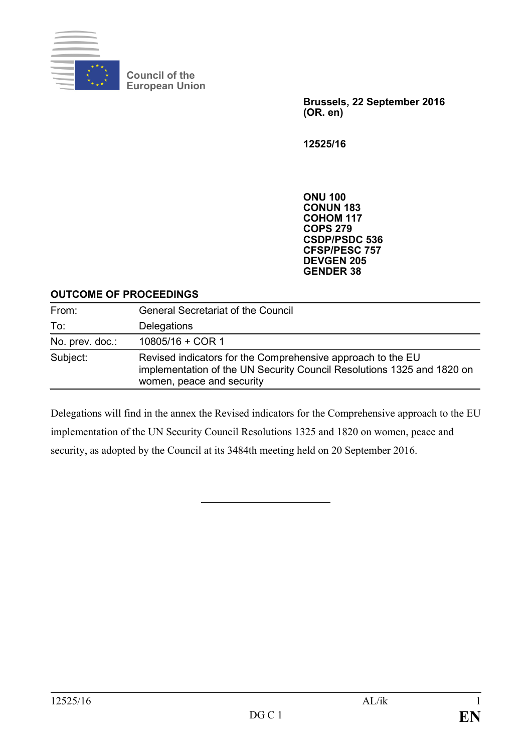

**Council of the European Union**

> **Brussels, 22 September 2016 (OR. en)**

**12525/16**

**ONU 100 CONUN 183 COHOM 117 COPS 279 CSDP/PSDC 536 CFSP/PESC 757 DEVGEN 205 GENDER 38**

#### **OUTCOME OF PROCEEDINGS**

| From:           | <b>General Secretariat of the Council</b>                                                                                                                          |
|-----------------|--------------------------------------------------------------------------------------------------------------------------------------------------------------------|
| To:             | Delegations                                                                                                                                                        |
| No. prev. doc.: | $10805/16 + COR1$                                                                                                                                                  |
| Subject:        | Revised indicators for the Comprehensive approach to the EU<br>implementation of the UN Security Council Resolutions 1325 and 1820 on<br>women, peace and security |

Delegations will find in the annex the Revised indicators for the Comprehensive approach to the EU implementation of the UN Security Council Resolutions 1325 and 1820 on women, peace and security, as adopted by the Council at its 3484th meeting held on 20 September 2016.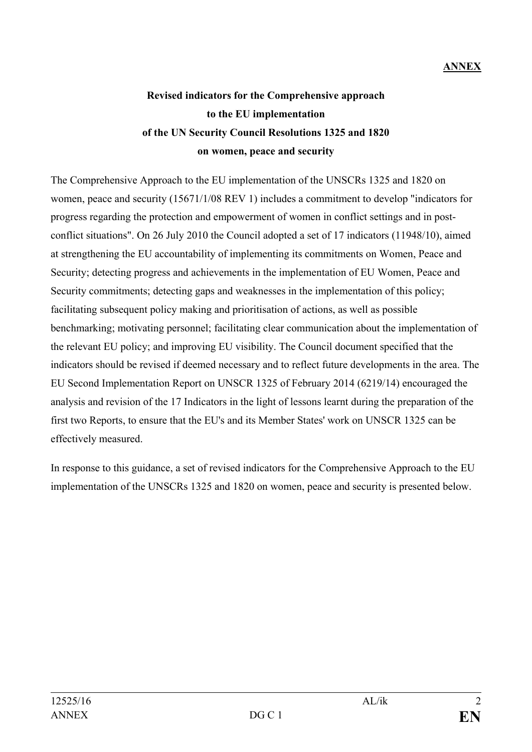## **ANNEX**

# **Revised indicators for the Comprehensive approach to the EU implementation of the UN Security Council Resolutions 1325 and 1820 on women, peace and security**

The Comprehensive Approach to the EU implementation of the UNSCRs 1325 and 1820 on women, peace and security (15671/1/08 REV 1) includes a commitment to develop "indicators for progress regarding the protection and empowerment of women in conflict settings and in postconflict situations". On 26 July 2010 the Council adopted a set of 17 indicators (11948/10), aimed at strengthening the EU accountability of implementing its commitments on Women, Peace and Security; detecting progress and achievements in the implementation of EU Women, Peace and Security commitments; detecting gaps and weaknesses in the implementation of this policy; facilitating subsequent policy making and prioritisation of actions, as well as possible benchmarking; motivating personnel; facilitating clear communication about the implementation of the relevant EU policy; and improving EU visibility. The Council document specified that the indicators should be revised if deemed necessary and to reflect future developments in the area. The EU Second Implementation Report on UNSCR 1325 of February 2014 (6219/14) encouraged the analysis and revision of the 17 Indicators in the light of lessons learnt during the preparation of the first two Reports, to ensure that the EU's and its Member States' work on UNSCR 1325 can be effectively measured.

In response to this guidance, a set of revised indicators for the Comprehensive Approach to the EU implementation of the UNSCRs 1325 and 1820 on women, peace and security is presented below.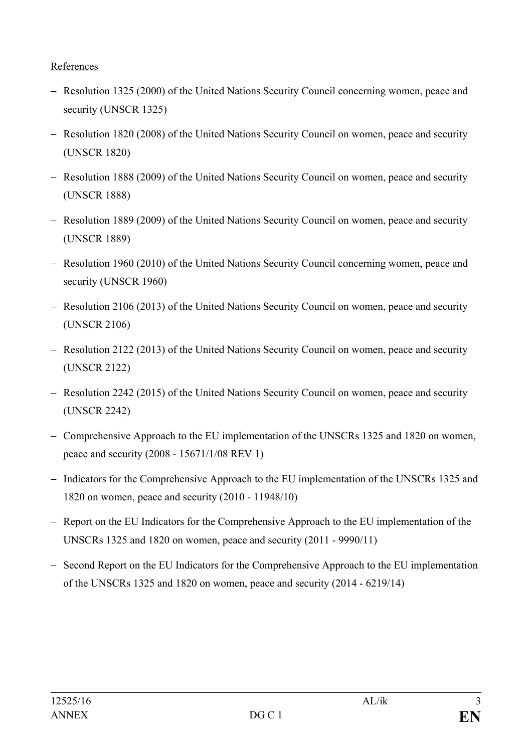#### References

- − Resolution 1325 (2000) of the United Nations Security Council concerning women, peace and security (UNSCR 1325)
- − Resolution 1820 (2008) of the United Nations Security Council on women, peace and security (UNSCR 1820)
- − Resolution 1888 (2009) of the United Nations Security Council on women, peace and security (UNSCR 1888)
- − Resolution 1889 (2009) of the United Nations Security Council on women, peace and security (UNSCR 1889)
- − Resolution 1960 (2010) of the United Nations Security Council concerning women, peace and security (UNSCR 1960)
- − Resolution 2106 (2013) of the United Nations Security Council on women, peace and security (UNSCR 2106)
- − Resolution 2122 (2013) of the United Nations Security Council on women, peace and security (UNSCR 2122)
- − Resolution 2242 (2015) of the United Nations Security Council on women, peace and security (UNSCR 2242)
- − Comprehensive Approach to the EU implementation of the UNSCRs 1325 and 1820 on women, peace and security (2008 - 15671/1/08 REV 1)
- − Indicators for the Comprehensive Approach to the EU implementation of the UNSCRs 1325 and 1820 on women, peace and security (2010 - 11948/10)
- − Report on the EU Indicators for the Comprehensive Approach to the EU implementation of the UNSCRs 1325 and 1820 on women, peace and security (2011 - 9990/11)
- − Second Report on the EU Indicators for the Comprehensive Approach to the EU implementation of the UNSCRs 1325 and 1820 on women, peace and security (2014 - 6219/14)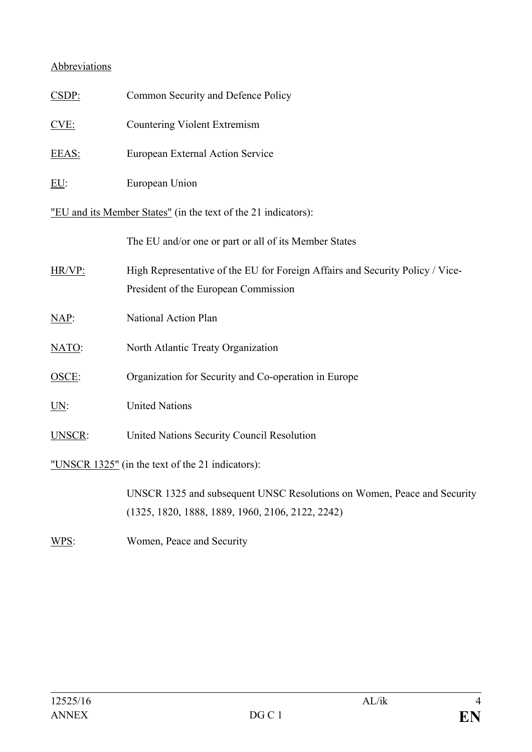#### Abbreviations

| CSDP:                                                          | Common Security and Defence Policy                                                                                    |
|----------------------------------------------------------------|-----------------------------------------------------------------------------------------------------------------------|
| CVE:                                                           | <b>Countering Violent Extremism</b>                                                                                   |
| EEAS:                                                          | European External Action Service                                                                                      |
| EU:                                                            | European Union                                                                                                        |
| "EU and its Member States" (in the text of the 21 indicators): |                                                                                                                       |
|                                                                | The EU and/or one or part or all of its Member States                                                                 |
| HR/VP:                                                         | High Representative of the EU for Foreign Affairs and Security Policy / Vice-<br>President of the European Commission |
| $NAP$ :                                                        | National Action Plan                                                                                                  |
| NATO:                                                          | North Atlantic Treaty Organization                                                                                    |
| OSCE:                                                          | Organization for Security and Co-operation in Europe                                                                  |
| <u>UN:</u>                                                     | <b>United Nations</b>                                                                                                 |
| UNSCR:                                                         | United Nations Security Council Resolution                                                                            |
| "UNSCR 1325" (in the text of the 21 indicators):               |                                                                                                                       |
|                                                                | UNSCR 1325 and subsequent UNSC Resolutions on Women, Peace and Security                                               |

(1325, 1820, 1888, 1889, 1960, 2106, 2122, 2242)

WPS: Women, Peace and Security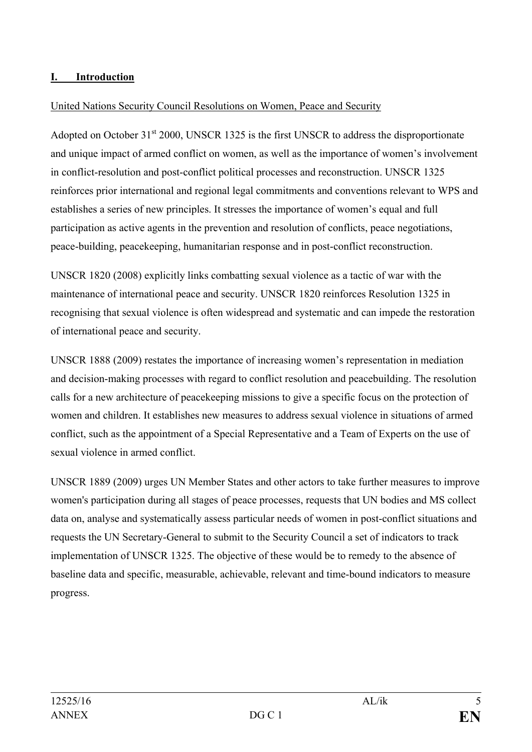#### **I. Introduction**

#### United Nations Security Council Resolutions on Women, Peace and Security

Adopted on October 31<sup>st</sup> 2000, UNSCR 1325 is the first UNSCR to address the disproportionate and unique impact of armed conflict on women, as well as the importance of women's involvement in conflict-resolution and post-conflict political processes and reconstruction. UNSCR 1325 reinforces prior international and regional legal commitments and conventions relevant to WPS and establishes a series of new principles. It stresses the importance of women's equal and full participation as active agents in the prevention and resolution of conflicts, peace negotiations, peace-building, peacekeeping, humanitarian response and in post-conflict reconstruction.

UNSCR 1820 (2008) explicitly links combatting sexual violence as a tactic of war with the maintenance of international peace and security. UNSCR 1820 reinforces Resolution 1325 in recognising that sexual violence is often widespread and systematic and can impede the restoration of international peace and security.

UNSCR 1888 (2009) restates the importance of increasing women's representation in mediation and decision-making processes with regard to conflict resolution and peacebuilding. The resolution calls for a new architecture of peacekeeping missions to give a specific focus on the protection of women and children. It establishes new measures to address sexual violence in situations of armed conflict, such as the appointment of a Special Representative and a Team of Experts on the use of sexual violence in armed conflict.

UNSCR 1889 (2009) urges UN Member States and other actors to take further measures to improve women's participation during all stages of peace processes, requests that UN bodies and MS collect data on, analyse and systematically assess particular needs of women in post-conflict situations and requests the UN Secretary-General to submit to the Security Council a set of indicators to track implementation of UNSCR 1325. The objective of these would be to remedy to the absence of baseline data and specific, measurable, achievable, relevant and time-bound indicators to measure progress.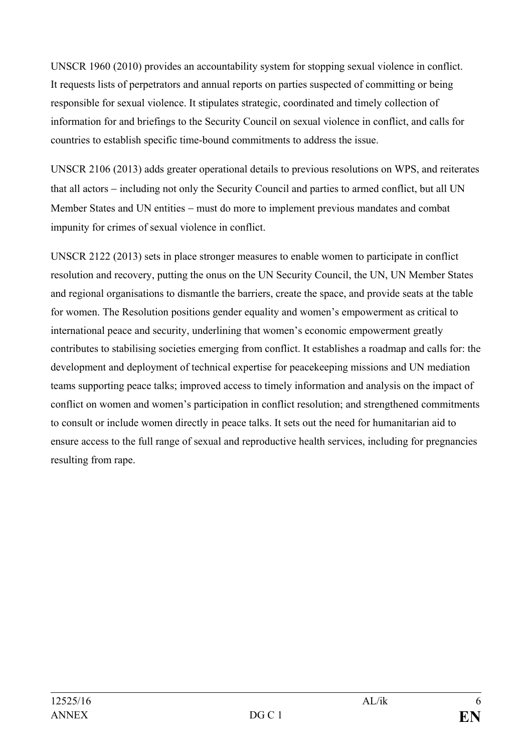UNSCR 1960 (2010) provides an accountability system for stopping sexual violence in conflict. It requests lists of perpetrators and annual reports on parties suspected of committing or being responsible for sexual violence. It stipulates strategic, coordinated and timely collection of information for and briefings to the Security Council on sexual violence in conflict, and calls for countries to establish specific time-bound commitments to address the issue.

UNSCR 2106 (2013) adds greater operational details to previous resolutions on WPS, and reiterates that all actors − including not only the Security Council and parties to armed conflict, but all UN Member States and UN entities – must do more to implement previous mandates and combat impunity for crimes of sexual violence in conflict.

UNSCR 2122 (2013) sets in place stronger measures to enable women to participate in conflict resolution and recovery, putting the onus on the UN Security Council, the UN, UN Member States and regional organisations to dismantle the barriers, create the space, and provide seats at the table for women. The Resolution positions gender equality and women's empowerment as critical to international peace and security, underlining that women's economic empowerment greatly contributes to stabilising societies emerging from conflict. It establishes a roadmap and calls for: the development and deployment of technical expertise for peacekeeping missions and UN mediation teams supporting peace talks; improved access to timely information and analysis on the impact of conflict on women and women's participation in conflict resolution; and strengthened commitments to consult or include women directly in peace talks. It sets out the need for humanitarian aid to ensure access to the full range of sexual and reproductive health services, including for pregnancies resulting from rape.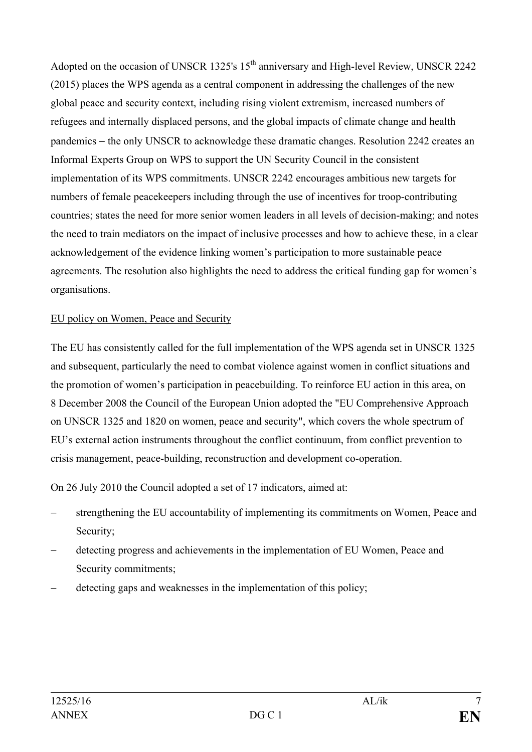Adopted on the occasion of UNSCR 1325's 15<sup>th</sup> anniversary and High-level Review, UNSCR 2242 (2015) places the WPS agenda as a central component in addressing the challenges of the new global peace and security context, including rising violent extremism, increased numbers of refugees and internally displaced persons, and the global impacts of climate change and health pandemics − the only UNSCR to acknowledge these dramatic changes. Resolution 2242 creates an Informal Experts Group on WPS to support the UN Security Council in the consistent implementation of its WPS commitments. UNSCR 2242 encourages ambitious new targets for numbers of female peacekeepers including through the use of incentives for troop-contributing countries; states the need for more senior women leaders in all levels of decision-making; and notes the need to train mediators on the impact of inclusive processes and how to achieve these, in a clear acknowledgement of the evidence linking women's participation to more sustainable peace agreements. The resolution also highlights the need to address the critical funding gap for women's organisations.

#### EU policy on Women, Peace and Security

The EU has consistently called for the full implementation of the WPS agenda set in UNSCR 1325 and subsequent, particularly the need to combat violence against women in conflict situations and the promotion of women's participation in peacebuilding. To reinforce EU action in this area, on 8 December 2008 the Council of the European Union adopted the "EU Comprehensive Approach on UNSCR 1325 and 1820 on women, peace and security", which covers the whole spectrum of EU's external action instruments throughout the conflict continuum, from conflict prevention to crisis management, peace-building, reconstruction and development co-operation.

On 26 July 2010 the Council adopted a set of 17 indicators, aimed at:

- strengthening the EU accountability of implementing its commitments on Women, Peace and Security;
- detecting progress and achievements in the implementation of EU Women, Peace and Security commitments;
- detecting gaps and weaknesses in the implementation of this policy;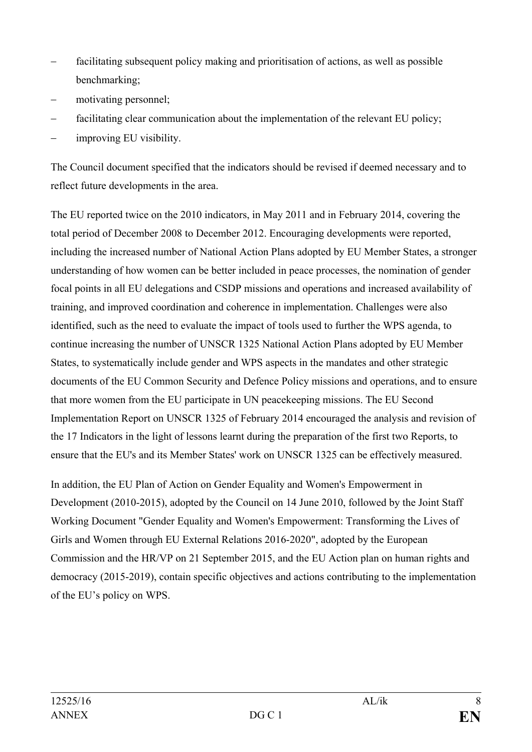- facilitating subsequent policy making and prioritisation of actions, as well as possible benchmarking;
- motivating personnel;
- facilitating clear communication about the implementation of the relevant EU policy;
- improving EU visibility.

The Council document specified that the indicators should be revised if deemed necessary and to reflect future developments in the area.

The EU reported twice on the 2010 indicators, in May 2011 and in February 2014, covering the total period of December 2008 to December 2012. Encouraging developments were reported, including the increased number of National Action Plans adopted by EU Member States, a stronger understanding of how women can be better included in peace processes, the nomination of gender focal points in all EU delegations and CSDP missions and operations and increased availability of training, and improved coordination and coherence in implementation. Challenges were also identified, such as the need to evaluate the impact of tools used to further the WPS agenda, to continue increasing the number of UNSCR 1325 National Action Plans adopted by EU Member States, to systematically include gender and WPS aspects in the mandates and other strategic documents of the EU Common Security and Defence Policy missions and operations, and to ensure that more women from the EU participate in UN peacekeeping missions. The EU Second Implementation Report on UNSCR 1325 of February 2014 encouraged the analysis and revision of the 17 Indicators in the light of lessons learnt during the preparation of the first two Reports, to ensure that the EU's and its Member States' work on UNSCR 1325 can be effectively measured.

In addition, the EU Plan of Action on Gender Equality and Women's Empowerment in Development (2010-2015), adopted by the Council on 14 June 2010, followed by the Joint Staff Working Document "Gender Equality and Women's Empowerment: Transforming the Lives of Girls and Women through EU External Relations 2016-2020", adopted by the European Commission and the HR/VP on 21 September 2015, and the EU Action plan on human rights and democracy (2015-2019), contain specific objectives and actions contributing to the implementation of the EU's policy on WPS.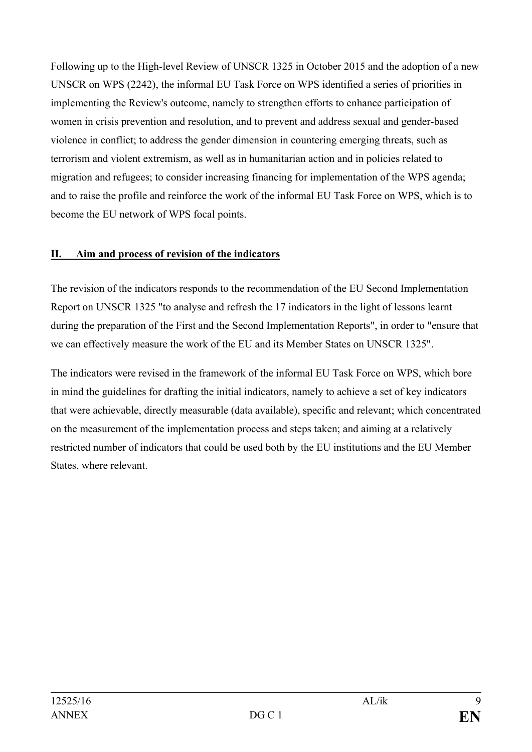Following up to the High-level Review of UNSCR 1325 in October 2015 and the adoption of a new UNSCR on WPS (2242), the informal EU Task Force on WPS identified a series of priorities in implementing the Review's outcome, namely to strengthen efforts to enhance participation of women in crisis prevention and resolution, and to prevent and address sexual and gender-based violence in conflict; to address the gender dimension in countering emerging threats, such as terrorism and violent extremism, as well as in humanitarian action and in policies related to migration and refugees; to consider increasing financing for implementation of the WPS agenda; and to raise the profile and reinforce the work of the informal EU Task Force on WPS, which is to become the EU network of WPS focal points.

#### **II. Aim and process of revision of the indicators**

The revision of the indicators responds to the recommendation of the EU Second Implementation Report on UNSCR 1325 "to analyse and refresh the 17 indicators in the light of lessons learnt during the preparation of the First and the Second Implementation Reports", in order to "ensure that we can effectively measure the work of the EU and its Member States on UNSCR 1325".

The indicators were revised in the framework of the informal EU Task Force on WPS, which bore in mind the guidelines for drafting the initial indicators, namely to achieve a set of key indicators that were achievable, directly measurable (data available), specific and relevant; which concentrated on the measurement of the implementation process and steps taken; and aiming at a relatively restricted number of indicators that could be used both by the EU institutions and the EU Member States, where relevant.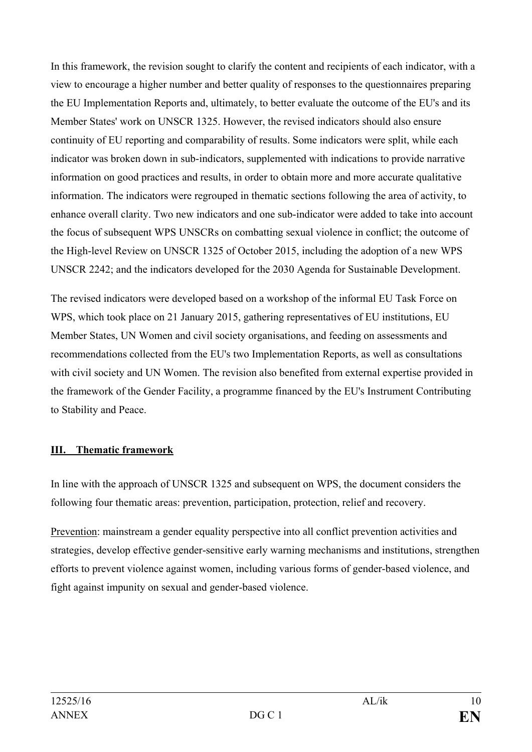In this framework, the revision sought to clarify the content and recipients of each indicator, with a view to encourage a higher number and better quality of responses to the questionnaires preparing the EU Implementation Reports and, ultimately, to better evaluate the outcome of the EU's and its Member States' work on UNSCR 1325. However, the revised indicators should also ensure continuity of EU reporting and comparability of results. Some indicators were split, while each indicator was broken down in sub-indicators, supplemented with indications to provide narrative information on good practices and results, in order to obtain more and more accurate qualitative information. The indicators were regrouped in thematic sections following the area of activity, to enhance overall clarity. Two new indicators and one sub-indicator were added to take into account the focus of subsequent WPS UNSCRs on combatting sexual violence in conflict; the outcome of the High-level Review on UNSCR 1325 of October 2015, including the adoption of a new WPS UNSCR 2242; and the indicators developed for the 2030 Agenda for Sustainable Development.

The revised indicators were developed based on a workshop of the informal EU Task Force on WPS, which took place on 21 January 2015, gathering representatives of EU institutions, EU Member States, UN Women and civil society organisations, and feeding on assessments and recommendations collected from the EU's two Implementation Reports, as well as consultations with civil society and UN Women. The revision also benefited from external expertise provided in the framework of the Gender Facility, a programme financed by the EU's Instrument Contributing to Stability and Peace.

#### **III. Thematic framework**

In line with the approach of UNSCR 1325 and subsequent on WPS, the document considers the following four thematic areas: prevention, participation, protection, relief and recovery.

Prevention: mainstream a gender equality perspective into all conflict prevention activities and strategies, develop effective gender-sensitive early warning mechanisms and institutions, strengthen efforts to prevent violence against women, including various forms of gender-based violence, and fight against impunity on sexual and gender-based violence.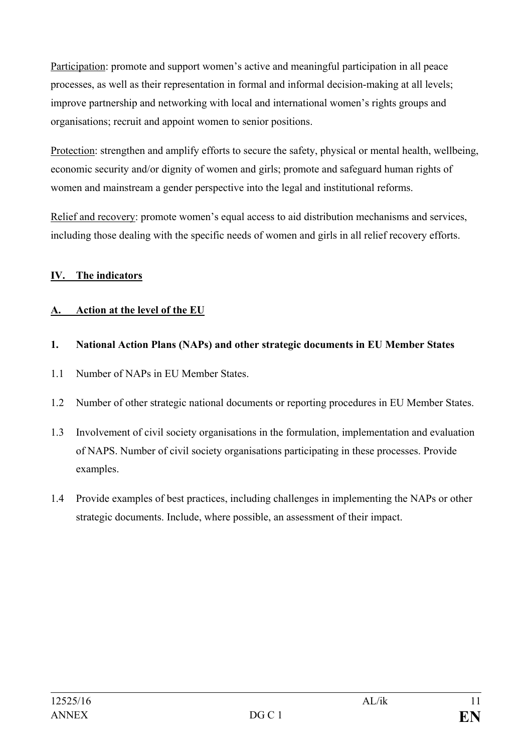Participation: promote and support women's active and meaningful participation in all peace processes, as well as their representation in formal and informal decision-making at all levels; improve partnership and networking with local and international women's rights groups and organisations; recruit and appoint women to senior positions.

Protection: strengthen and amplify efforts to secure the safety, physical or mental health, wellbeing, economic security and/or dignity of women and girls; promote and safeguard human rights of women and mainstream a gender perspective into the legal and institutional reforms.

Relief and recovery: promote women's equal access to aid distribution mechanisms and services, including those dealing with the specific needs of women and girls in all relief recovery efforts.

## **IV. The indicators**

## **A. Action at the level of the EU**

## **1. National Action Plans (NAPs) and other strategic documents in EU Member States**

- 1.1 Number of NAPs in EU Member States.
- 1.2 Number of other strategic national documents or reporting procedures in EU Member States.
- 1.3 Involvement of civil society organisations in the formulation, implementation and evaluation of NAPS. Number of civil society organisations participating in these processes. Provide examples.
- 1.4 Provide examples of best practices, including challenges in implementing the NAPs or other strategic documents. Include, where possible, an assessment of their impact.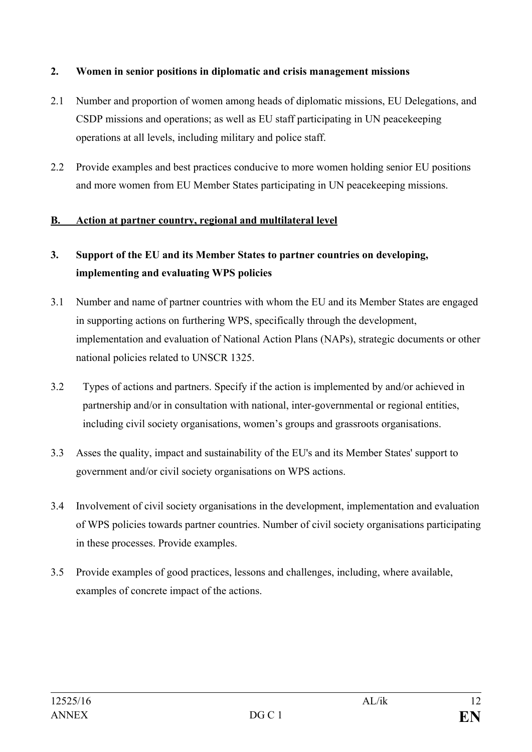#### **2. Women in senior positions in diplomatic and crisis management missions**

- 2.1 Number and proportion of women among heads of diplomatic missions, EU Delegations, and CSDP missions and operations; as well as EU staff participating in UN peacekeeping operations at all levels, including military and police staff.
- 2.2 Provide examples and best practices conducive to more women holding senior EU positions and more women from EU Member States participating in UN peacekeeping missions.

#### **B. Action at partner country, regional and multilateral level**

## **3. Support of the EU and its Member States to partner countries on developing, implementing and evaluating WPS policies**

- 3.1 Number and name of partner countries with whom the EU and its Member States are engaged in supporting actions on furthering WPS, specifically through the development, implementation and evaluation of National Action Plans (NAPs), strategic documents or other national policies related to UNSCR 1325.
- 3.2 Types of actions and partners. Specify if the action is implemented by and/or achieved in partnership and/or in consultation with national, inter-governmental or regional entities, including civil society organisations, women's groups and grassroots organisations.
- 3.3 Asses the quality, impact and sustainability of the EU's and its Member States' support to government and/or civil society organisations on WPS actions.
- 3.4 Involvement of civil society organisations in the development, implementation and evaluation of WPS policies towards partner countries. Number of civil society organisations participating in these processes. Provide examples.
- 3.5 Provide examples of good practices, lessons and challenges, including, where available, examples of concrete impact of the actions.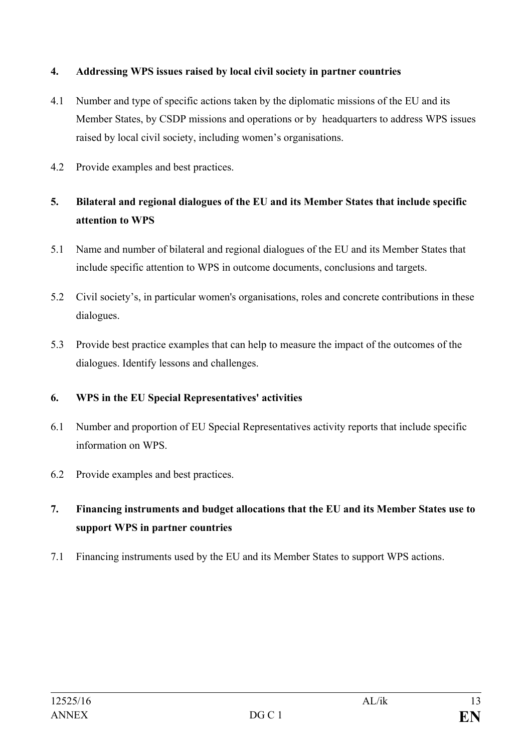#### **4. Addressing WPS issues raised by local civil society in partner countries**

- 4.1 Number and type of specific actions taken by the diplomatic missions of the EU and its Member States, by CSDP missions and operations or by headquarters to address WPS issues raised by local civil society, including women's organisations.
- 4.2 Provide examples and best practices.

## **5. Bilateral and regional dialogues of the EU and its Member States that include specific attention to WPS**

- 5.1 Name and number of bilateral and regional dialogues of the EU and its Member States that include specific attention to WPS in outcome documents, conclusions and targets.
- 5.2 Civil society's, in particular women's organisations, roles and concrete contributions in these dialogues.
- 5.3 Provide best practice examples that can help to measure the impact of the outcomes of the dialogues. Identify lessons and challenges.

#### **6. WPS in the EU Special Representatives' activities**

- 6.1 Number and proportion of EU Special Representatives activity reports that include specific information on WPS.
- 6.2 Provide examples and best practices.
- **7. Financing instruments and budget allocations that the EU and its Member States use to support WPS in partner countries**
- 7.1 Financing instruments used by the EU and its Member States to support WPS actions.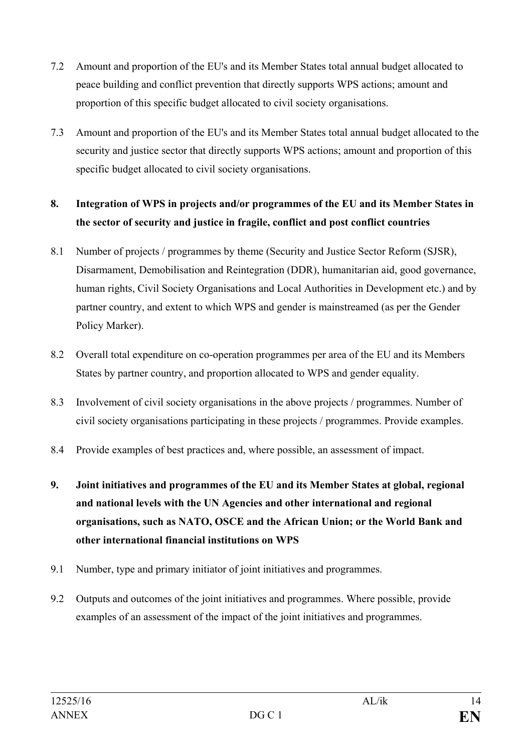- 7.2 Amount and proportion of the EU's and its Member States total annual budget allocated to peace building and conflict prevention that directly supports WPS actions; amount and proportion of this specific budget allocated to civil society organisations.
- 7.3 Amount and proportion of the EU's and its Member States total annual budget allocated to the security and justice sector that directly supports WPS actions; amount and proportion of this specific budget allocated to civil society organisations.

# **8. Integration of WPS in projects and/or programmes of the EU and its Member States in the sector of security and justice in fragile, conflict and post conflict countries**

- 8.1 Number of projects / programmes by theme (Security and Justice Sector Reform (SJSR), Disarmament, Demobilisation and Reintegration (DDR), humanitarian aid, good governance, human rights, Civil Society Organisations and Local Authorities in Development etc.) and by partner country, and extent to which WPS and gender is mainstreamed (as per the Gender Policy Marker).
- 8.2 Overall total expenditure on co-operation programmes per area of the EU and its Members States by partner country, and proportion allocated to WPS and gender equality.
- 8.3 Involvement of civil society organisations in the above projects / programmes. Number of civil society organisations participating in these projects / programmes. Provide examples.
- 8.4 Provide examples of best practices and, where possible, an assessment of impact.
- **9. Joint initiatives and programmes of the EU and its Member States at global, regional and national levels with the UN Agencies and other international and regional organisations, such as NATO, OSCE and the African Union; or the World Bank and other international financial institutions on WPS**
- 9.1 Number, type and primary initiator of joint initiatives and programmes.
- 9.2 Outputs and outcomes of the joint initiatives and programmes. Where possible, provide examples of an assessment of the impact of the joint initiatives and programmes.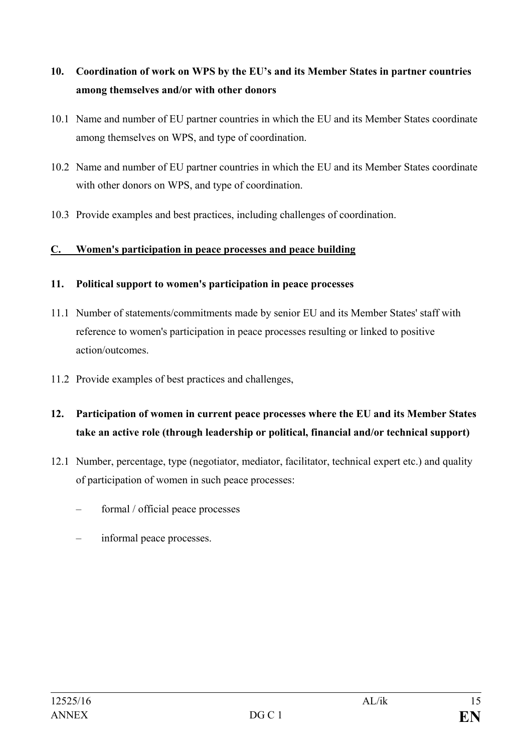# **10. Coordination of work on WPS by the EU's and its Member States in partner countries among themselves and/or with other donors**

- 10.1 Name and number of EU partner countries in which the EU and its Member States coordinate among themselves on WPS, and type of coordination.
- 10.2 Name and number of EU partner countries in which the EU and its Member States coordinate with other donors on WPS, and type of coordination.
- 10.3 Provide examples and best practices, including challenges of coordination.

## **C. Women's participation in peace processes and peace building**

#### **11. Political support to women's participation in peace processes**

- 11.1 Number of statements/commitments made by senior EU and its Member States' staff with reference to women's participation in peace processes resulting or linked to positive action/outcomes.
- 11.2 Provide examples of best practices and challenges,
- **12. Participation of women in current peace processes where the EU and its Member States take an active role (through leadership or political, financial and/or technical support)**
- 12.1 Number, percentage, type (negotiator, mediator, facilitator, technical expert etc.) and quality of participation of women in such peace processes:
	- formal / official peace processes
	- informal peace processes.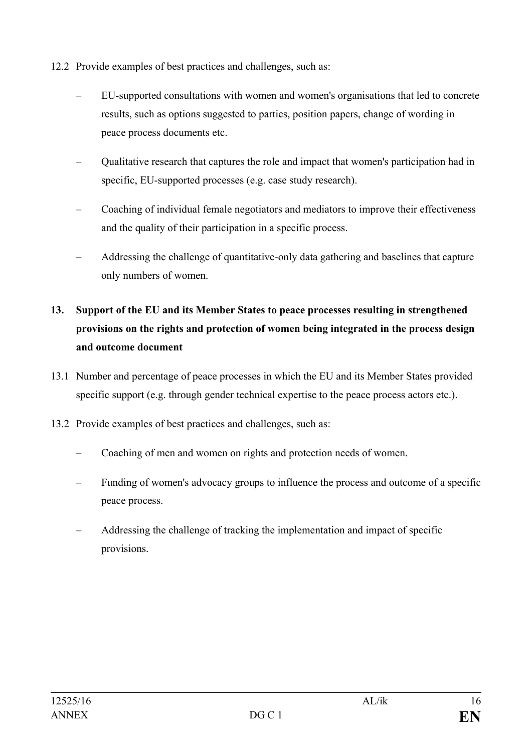- 12.2 Provide examples of best practices and challenges, such as:
	- EU-supported consultations with women and women's organisations that led to concrete results, such as options suggested to parties, position papers, change of wording in peace process documents etc.
	- Qualitative research that captures the role and impact that women's participation had in specific, EU-supported processes (e.g. case study research).
	- Coaching of individual female negotiators and mediators to improve their effectiveness and the quality of their participation in a specific process.
	- Addressing the challenge of quantitative-only data gathering and baselines that capture only numbers of women.

# **13. Support of the EU and its Member States to peace processes resulting in strengthened provisions on the rights and protection of women being integrated in the process design and outcome document**

- 13.1 Number and percentage of peace processes in which the EU and its Member States provided specific support (e.g. through gender technical expertise to the peace process actors etc.).
- 13.2 Provide examples of best practices and challenges, such as:
	- Coaching of men and women on rights and protection needs of women.
	- Funding of women's advocacy groups to influence the process and outcome of a specific peace process.
	- Addressing the challenge of tracking the implementation and impact of specific provisions.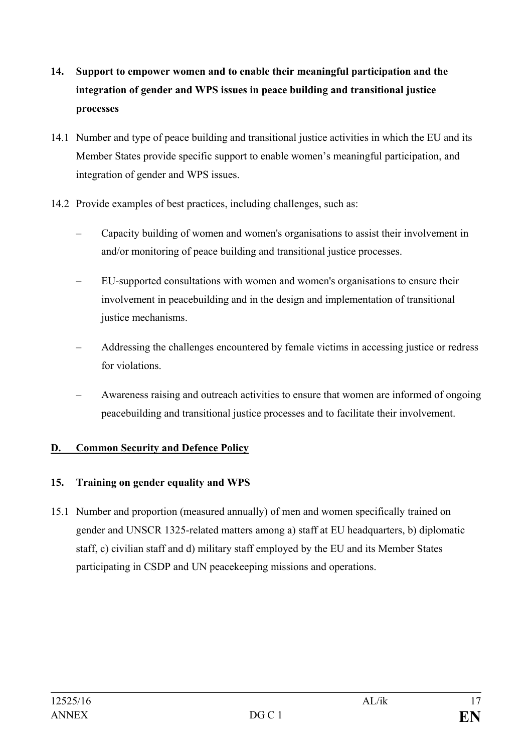- **14. Support to empower women and to enable their meaningful participation and the integration of gender and WPS issues in peace building and transitional justice processes**
- 14.1 Number and type of peace building and transitional justice activities in which the EU and its Member States provide specific support to enable women's meaningful participation, and integration of gender and WPS issues.
- 14.2 Provide examples of best practices, including challenges, such as:
	- Capacity building of women and women's organisations to assist their involvement in and/or monitoring of peace building and transitional justice processes.
	- EU-supported consultations with women and women's organisations to ensure their involvement in peacebuilding and in the design and implementation of transitional justice mechanisms.
	- Addressing the challenges encountered by female victims in accessing justice or redress for violations.
	- Awareness raising and outreach activities to ensure that women are informed of ongoing peacebuilding and transitional justice processes and to facilitate their involvement.

#### **D. Common Security and Defence Policy**

## **15. Training on gender equality and WPS**

15.1 Number and proportion (measured annually) of men and women specifically trained on gender and UNSCR 1325-related matters among a) staff at EU headquarters, b) diplomatic staff, c) civilian staff and d) military staff employed by the EU and its Member States participating in CSDP and UN peacekeeping missions and operations.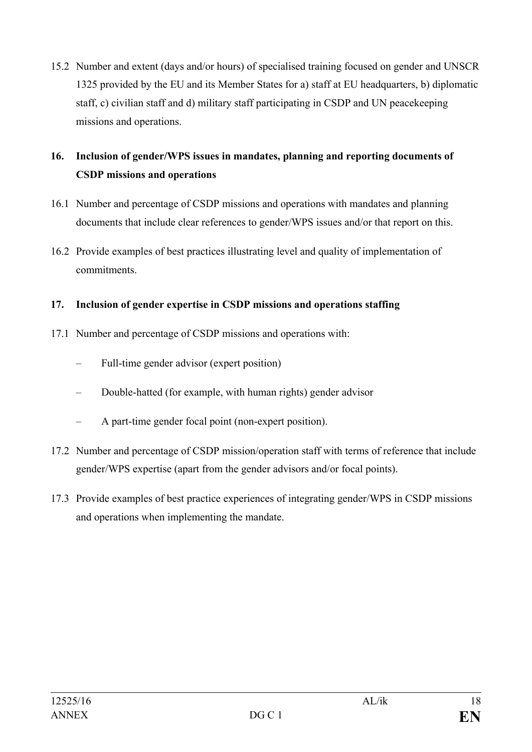15.2 Number and extent (days and/or hours) of specialised training focused on gender and UNSCR 1325 provided by the EU and its Member States for a) staff at EU headquarters, b) diplomatic staff, c) civilian staff and d) military staff participating in CSDP and UN peacekeeping missions and operations.

## **16. Inclusion of gender/WPS issues in mandates, planning and reporting documents of CSDP missions and operations**

- 16.1 Number and percentage of CSDP missions and operations with mandates and planning documents that include clear references to gender/WPS issues and/or that report on this.
- 16.2 Provide examples of best practices illustrating level and quality of implementation of commitments.

#### **17. Inclusion of gender expertise in CSDP missions and operations staffing**

- 17.1 Number and percentage of CSDP missions and operations with:
	- Full-time gender advisor (expert position)
	- Double-hatted (for example, with human rights) gender advisor
	- A part-time gender focal point (non-expert position).
- 17.2 Number and percentage of CSDP mission/operation staff with terms of reference that include gender/WPS expertise (apart from the gender advisors and/or focal points).
- 17.3 Provide examples of best practice experiences of integrating gender/WPS in CSDP missions and operations when implementing the mandate.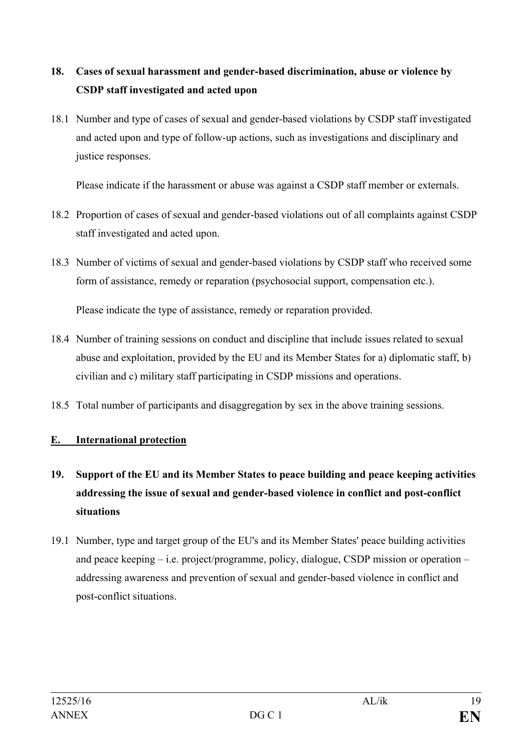# **18. Cases of sexual harassment and gender-based discrimination, abuse or violence by CSDP staff investigated and acted upon**

18.1 Number and type of cases of sexual and gender-based violations by CSDP staff investigated and acted upon and type of follow-up actions, such as investigations and disciplinary and justice responses.

Please indicate if the harassment or abuse was against a CSDP staff member or externals.

- 18.2 Proportion of cases of sexual and gender-based violations out of all complaints against CSDP staff investigated and acted upon.
- 18.3 Number of victims of sexual and gender-based violations by CSDP staff who received some form of assistance, remedy or reparation (psychosocial support, compensation etc.).

Please indicate the type of assistance, remedy or reparation provided.

- 18.4 Number of training sessions on conduct and discipline that include issues related to sexual abuse and exploitation, provided by the EU and its Member States for a) diplomatic staff, b) civilian and c) military staff participating in CSDP missions and operations.
- 18.5 Total number of participants and disaggregation by sex in the above training sessions.

## **E. International protection**

- **19. Support of the EU and its Member States to peace building and peace keeping activities addressing the issue of sexual and gender-based violence in conflict and post-conflict situations**
- 19.1 Number, type and target group of the EU's and its Member States' peace building activities and peace keeping – i.e. project/programme, policy, dialogue, CSDP mission or operation – addressing awareness and prevention of sexual and gender-based violence in conflict and post-conflict situations.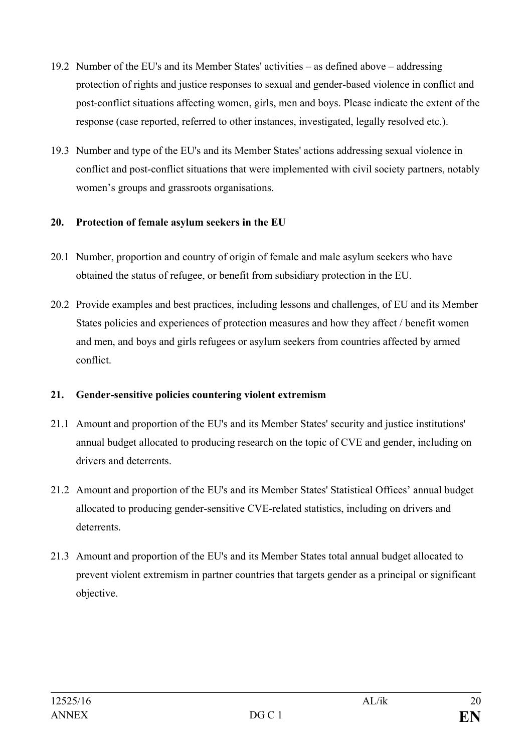- 19.2 Number of the EU's and its Member States' activities as defined above addressing protection of rights and justice responses to sexual and gender-based violence in conflict and post-conflict situations affecting women, girls, men and boys. Please indicate the extent of the response (case reported, referred to other instances, investigated, legally resolved etc.).
- 19.3 Number and type of the EU's and its Member States' actions addressing sexual violence in conflict and post-conflict situations that were implemented with civil society partners, notably women's groups and grassroots organisations.

#### **20. Protection of female asylum seekers in the EU**

- 20.1 Number, proportion and country of origin of female and male asylum seekers who have obtained the status of refugee, or benefit from subsidiary protection in the EU.
- 20.2 Provide examples and best practices, including lessons and challenges, of EU and its Member States policies and experiences of protection measures and how they affect / benefit women and men, and boys and girls refugees or asylum seekers from countries affected by armed conflict.

#### **21. Gender-sensitive policies countering violent extremism**

- 21.1 Amount and proportion of the EU's and its Member States' security and justice institutions' annual budget allocated to producing research on the topic of CVE and gender, including on drivers and deterrents.
- 21.2 Amount and proportion of the EU's and its Member States' Statistical Offices' annual budget allocated to producing gender-sensitive CVE-related statistics, including on drivers and deterrents.
- 21.3 Amount and proportion of the EU's and its Member States total annual budget allocated to prevent violent extremism in partner countries that targets gender as a principal or significant objective.